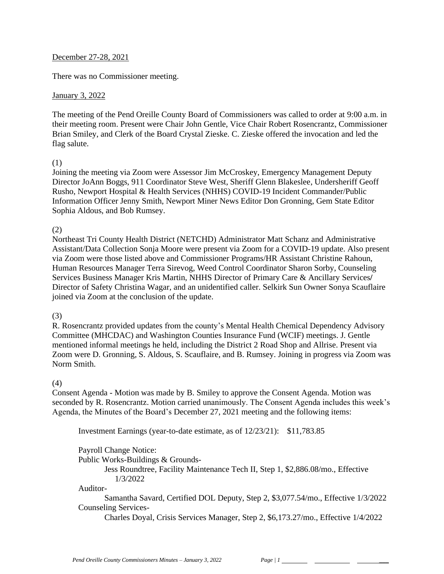### December 27-28, 2021

There was no Commissioner meeting.

### January 3, 2022

The meeting of the Pend Oreille County Board of Commissioners was called to order at 9:00 a.m. in their meeting room. Present were Chair John Gentle, Vice Chair Robert Rosencrantz, Commissioner Brian Smiley, and Clerk of the Board Crystal Zieske. C. Zieske offered the invocation and led the flag salute.

#### (1)

Joining the meeting via Zoom were Assessor Jim McCroskey, Emergency Management Deputy Director JoAnn Boggs, 911 Coordinator Steve West, Sheriff Glenn Blakeslee, Undersheriff Geoff Rusho, Newport Hospital & Health Services (NHHS) COVID-19 Incident Commander/Public Information Officer Jenny Smith, Newport Miner News Editor Don Gronning, Gem State Editor Sophia Aldous, and Bob Rumsey.

### (2)

Northeast Tri County Health District (NETCHD) Administrator Matt Schanz and Administrative Assistant/Data Collection Sonja Moore were present via Zoom for a COVID-19 update. Also present via Zoom were those listed above and Commissioner Programs/HR Assistant Christine Rahoun, Human Resources Manager Terra Sirevog, Weed Control Coordinator Sharon Sorby, Counseling Services Business Manager Kris Martin, NHHS Director of Primary Care & Ancillary Services**/** Director of Safety Christina Wagar, and an unidentified caller. Selkirk Sun Owner Sonya Scauflaire joined via Zoom at the conclusion of the update.

#### (3)

R. Rosencrantz provided updates from the county's Mental Health Chemical Dependency Advisory Committee (MHCDAC) and Washington Counties Insurance Fund (WCIF) meetings. J. Gentle mentioned informal meetings he held, including the District 2 Road Shop and Allrise. Present via Zoom were D. Gronning, S. Aldous, S. Scauflaire, and B. Rumsey. Joining in progress via Zoom was Norm Smith.

#### (4)

Consent Agenda - Motion was made by B. Smiley to approve the Consent Agenda. Motion was seconded by R. Rosencrantz. Motion carried unanimously. The Consent Agenda includes this week's Agenda, the Minutes of the Board's December 27, 2021 meeting and the following items:

Investment Earnings (year-to-date estimate, as of 12/23/21): \$11,783.85

Payroll Change Notice: Public Works-Buildings & Grounds-Jess Roundtree, Facility Maintenance Tech II, Step 1, \$2,886.08/mo., Effective 1/3/2022 Auditor-Samantha Savard, Certified DOL Deputy, Step 2, \$3,077.54/mo., Effective 1/3/2022 Counseling Services-Charles Doyal, Crisis Services Manager, Step 2, \$6,173.27/mo., Effective 1/4/2022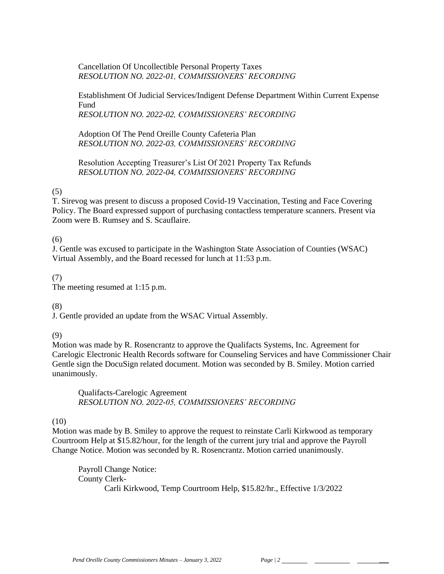### Cancellation Of Uncollectible Personal Property Taxes *RESOLUTION NO. 2022-01, COMMISSIONERS' RECORDING*

Establishment Of Judicial Services/Indigent Defense Department Within Current Expense Fund

*RESOLUTION NO. 2022-02, COMMISSIONERS' RECORDING* 

Adoption Of The Pend Oreille County Cafeteria Plan *RESOLUTION NO. 2022-03, COMMISSIONERS' RECORDING* 

Resolution Accepting Treasurer's List Of 2021 Property Tax Refunds *RESOLUTION NO. 2022-04, COMMISSIONERS' RECORDING* 

## (5)

T. Sirevog was present to discuss a proposed Covid-19 Vaccination, Testing and Face Covering Policy. The Board expressed support of purchasing contactless temperature scanners. Present via Zoom were B. Rumsey and S. Scauflaire.

### (6)

J. Gentle was excused to participate in the Washington State Association of Counties (WSAC) Virtual Assembly, and the Board recessed for lunch at 11:53 p.m.

### (7)

The meeting resumed at 1:15 p.m.

### (8)

J. Gentle provided an update from the WSAC Virtual Assembly.

### (9)

Motion was made by R. Rosencrantz to approve the Qualifacts Systems, Inc. Agreement for Carelogic Electronic Health Records software for Counseling Services and have Commissioner Chair Gentle sign the DocuSign related document. Motion was seconded by B. Smiley. Motion carried unanimously.

Qualifacts-Carelogic Agreement *RESOLUTION NO. 2022-05, COMMISSIONERS' RECORDING* 

### (10)

Motion was made by B. Smiley to approve the request to reinstate Carli Kirkwood as temporary Courtroom Help at \$15.82/hour, for the length of the current jury trial and approve the Payroll Change Notice. Motion was seconded by R. Rosencrantz. Motion carried unanimously.

Payroll Change Notice: County Clerk-Carli Kirkwood, Temp Courtroom Help, \$15.82/hr., Effective 1/3/2022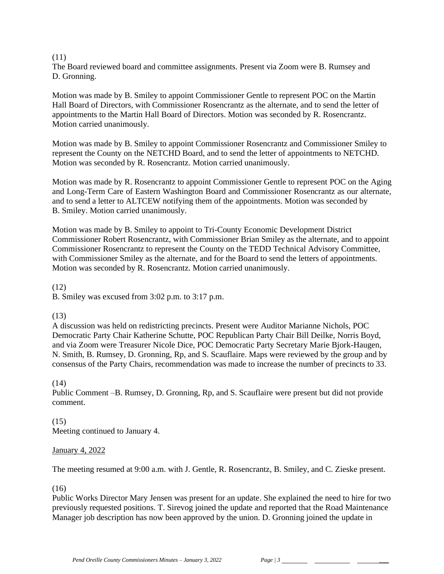### (11)

The Board reviewed board and committee assignments. Present via Zoom were B. Rumsey and D. Gronning.

Motion was made by B. Smiley to appoint Commissioner Gentle to represent POC on the Martin Hall Board of Directors, with Commissioner Rosencrantz as the alternate, and to send the letter of appointments to the Martin Hall Board of Directors. Motion was seconded by R. Rosencrantz. Motion carried unanimously.

Motion was made by B. Smiley to appoint Commissioner Rosencrantz and Commissioner Smiley to represent the County on the NETCHD Board, and to send the letter of appointments to NETCHD. Motion was seconded by R. Rosencrantz. Motion carried unanimously.

Motion was made by R. Rosencrantz to appoint Commissioner Gentle to represent POC on the Aging and Long-Term Care of Eastern Washington Board and Commissioner Rosencrantz as our alternate, and to send a letter to ALTCEW notifying them of the appointments. Motion was seconded by B. Smiley. Motion carried unanimously.

Motion was made by B. Smiley to appoint to Tri-County Economic Development District Commissioner Robert Rosencrantz, with Commissioner Brian Smiley as the alternate, and to appoint Commissioner Rosencrantz to represent the County on the TEDD Technical Advisory Committee, with Commissioner Smiley as the alternate, and for the Board to send the letters of appointments. Motion was seconded by R. Rosencrantz. Motion carried unanimously.

(12) B. Smiley was excused from 3:02 p.m. to 3:17 p.m.

### (13)

A discussion was held on redistricting precincts. Present were Auditor Marianne Nichols, POC Democratic Party Chair Katherine Schutte, POC Republican Party Chair Bill Deilke, Norris Boyd, and via Zoom were Treasurer Nicole Dice, POC Democratic Party Secretary Marie Bjork-Haugen, N. Smith, B. Rumsey, D. Gronning, Rp, and S. Scauflaire. Maps were reviewed by the group and by consensus of the Party Chairs, recommendation was made to increase the number of precincts to 33.

## (14)

Public Comment –B. Rumsey, D. Gronning, Rp, and S. Scauflaire were present but did not provide comment.

### (15) Meeting continued to January 4.

### January 4, 2022

The meeting resumed at 9:00 a.m. with J. Gentle, R. Rosencrantz, B. Smiley, and C. Zieske present.

### (16)

Public Works Director Mary Jensen was present for an update. She explained the need to hire for two previously requested positions. T. Sirevog joined the update and reported that the Road Maintenance Manager job description has now been approved by the union. D. Gronning joined the update in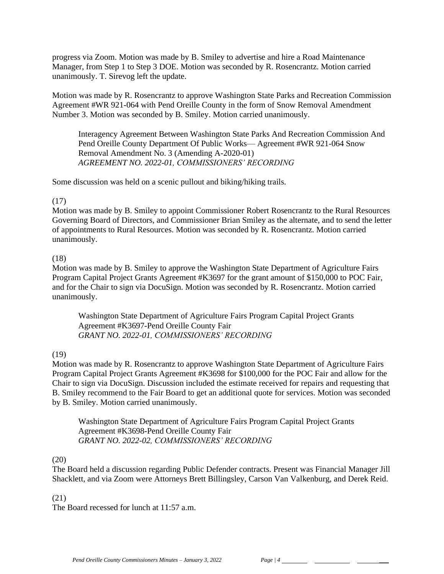progress via Zoom. Motion was made by B. Smiley to advertise and hire a Road Maintenance Manager, from Step 1 to Step 3 DOE. Motion was seconded by R. Rosencrantz. Motion carried unanimously. T. Sirevog left the update.

Motion was made by R. Rosencrantz to approve Washington State Parks and Recreation Commission Agreement #WR 921-064 with Pend Oreille County in the form of Snow Removal Amendment Number 3. Motion was seconded by B. Smiley. Motion carried unanimously.

Interagency Agreement Between Washington State Parks And Recreation Commission And Pend Oreille County Department Of Public Works— Agreement #WR 921-064 Snow Removal Amendment No. 3 (Amending A-2020-01) *AGREEMENT NO. 2022-01, COMMISSIONERS' RECORDING*

Some discussion was held on a scenic pullout and biking/hiking trails.

### (17)

Motion was made by B. Smiley to appoint Commissioner Robert Rosencrantz to the Rural Resources Governing Board of Directors, and Commissioner Brian Smiley as the alternate, and to send the letter of appointments to Rural Resources. Motion was seconded by R. Rosencrantz. Motion carried unanimously.

### (18)

Motion was made by B. Smiley to approve the Washington State Department of Agriculture Fairs Program Capital Project Grants Agreement #K3697 for the grant amount of \$150,000 to POC Fair, and for the Chair to sign via DocuSign. Motion was seconded by R. Rosencrantz. Motion carried unanimously.

Washington State Department of Agriculture Fairs Program Capital Project Grants Agreement #K3697-Pend Oreille County Fair *GRANT NO. 2022-01, COMMISSIONERS' RECORDING*

## (19)

Motion was made by R. Rosencrantz to approve Washington State Department of Agriculture Fairs Program Capital Project Grants Agreement #K3698 for \$100,000 for the POC Fair and allow for the Chair to sign via DocuSign. Discussion included the estimate received for repairs and requesting that B. Smiley recommend to the Fair Board to get an additional quote for services. Motion was seconded by B. Smiley. Motion carried unanimously.

Washington State Department of Agriculture Fairs Program Capital Project Grants Agreement #K3698-Pend Oreille County Fair *GRANT NO. 2022-02, COMMISSIONERS' RECORDING*

### (20)

The Board held a discussion regarding Public Defender contracts. Present was Financial Manager Jill Shacklett, and via Zoom were Attorneys Brett Billingsley, Carson Van Valkenburg, and Derek Reid.

### (21)

The Board recessed for lunch at 11:57 a.m.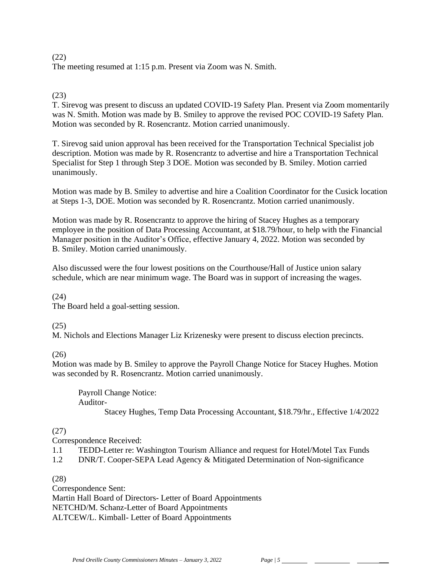### (22) The meeting resumed at 1:15 p.m. Present via Zoom was N. Smith.

## (23)

T. Sirevog was present to discuss an updated COVID-19 Safety Plan. Present via Zoom momentarily was N. Smith. Motion was made by B. Smiley to approve the revised POC COVID-19 Safety Plan. Motion was seconded by R. Rosencrantz. Motion carried unanimously.

T. Sirevog said union approval has been received for the Transportation Technical Specialist job description. Motion was made by R. Rosencrantz to advertise and hire a Transportation Technical Specialist for Step 1 through Step 3 DOE. Motion was seconded by B. Smiley. Motion carried unanimously.

Motion was made by B. Smiley to advertise and hire a Coalition Coordinator for the Cusick location at Steps 1-3, DOE. Motion was seconded by R. Rosencrantz. Motion carried unanimously.

Motion was made by R. Rosencrantz to approve the hiring of Stacey Hughes as a temporary employee in the position of Data Processing Accountant, at \$18.79/hour, to help with the Financial Manager position in the Auditor's Office, effective January 4, 2022. Motion was seconded by B. Smiley. Motion carried unanimously.

Also discussed were the four lowest positions on the Courthouse/Hall of Justice union salary schedule, which are near minimum wage. The Board was in support of increasing the wages.

(24)

The Board held a goal-setting session.

## (25)

M. Nichols and Elections Manager Liz Krizenesky were present to discuss election precincts.

(26)

Motion was made by B. Smiley to approve the Payroll Change Notice for Stacey Hughes. Motion was seconded by R. Rosencrantz. Motion carried unanimously.

Payroll Change Notice: Auditor-Stacey Hughes, Temp Data Processing Accountant, \$18.79/hr., Effective 1/4/2022

# (27)

Correspondence Received:

1.1 TEDD-Letter re: Washington Tourism Alliance and request for Hotel/Motel Tax Funds

1.2 DNR/T. Cooper-SEPA Lead Agency & Mitigated Determination of Non-significance

(28)

Correspondence Sent: Martin Hall Board of Directors- Letter of Board Appointments NETCHD/M. Schanz-Letter of Board Appointments ALTCEW/L. Kimball- Letter of Board Appointments